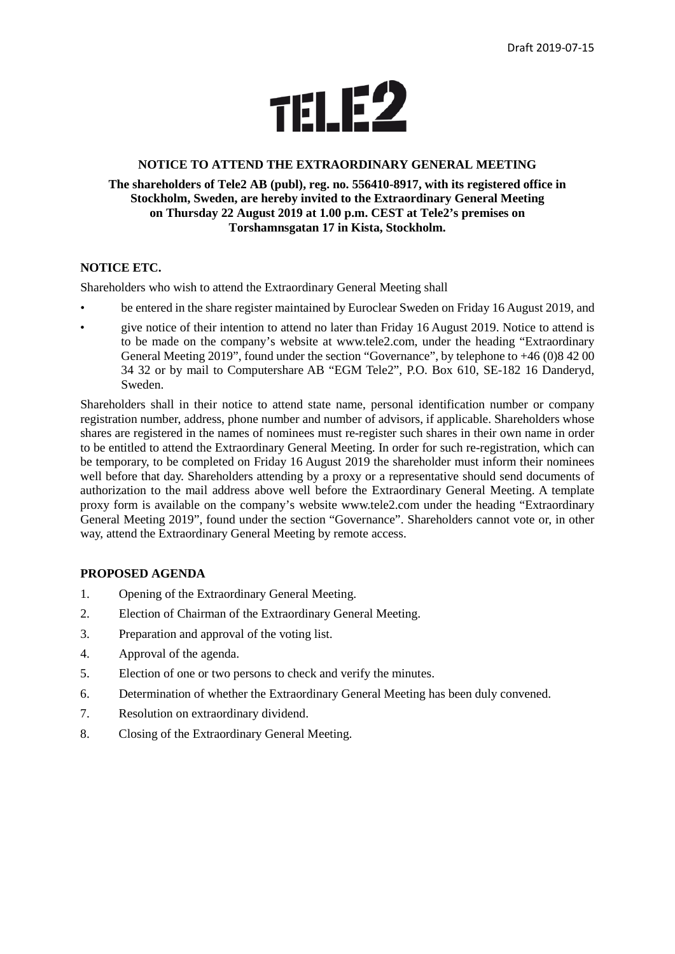

#### **NOTICE TO ATTEND THE EXTRAORDINARY GENERAL MEETING**

### **The shareholders of Tele2 AB (publ), reg. no. 556410-8917, with its registered office in Stockholm, Sweden, are hereby invited to the Extraordinary General Meeting on Thursday 22 August 2019 at 1.00 p.m. CEST at Tele2's premises on Torshamnsgatan 17 in Kista, Stockholm.**

#### **NOTICE ETC.**

Shareholders who wish to attend the Extraordinary General Meeting shall

- be entered in the share register maintained by Euroclear Sweden on Friday 16 August 2019, and
- give notice of their intention to attend no later than Friday 16 August 2019. Notice to attend is to be made on the company's website at www.tele2.com, under the heading "Extraordinary General Meeting 2019", found under the section "Governance", by telephone to +46 (0)8 42 00 34 32 or by mail to Computershare AB "EGM Tele2", P.O. Box 610, SE-182 16 Danderyd, Sweden.

Shareholders shall in their notice to attend state name, personal identification number or company registration number, address, phone number and number of advisors, if applicable. Shareholders whose shares are registered in the names of nominees must re-register such shares in their own name in order to be entitled to attend the Extraordinary General Meeting. In order for such re-registration, which can be temporary, to be completed on Friday 16 August 2019 the shareholder must inform their nominees well before that day. Shareholders attending by a proxy or a representative should send documents of authorization to the mail address above well before the Extraordinary General Meeting. A template proxy form is available on the company's website www.tele2.com under the heading "Extraordinary General Meeting 2019", found under the section "Governance". Shareholders cannot vote or, in other way, attend the Extraordinary General Meeting by remote access.

#### **PROPOSED AGENDA**

- 1. Opening of the Extraordinary General Meeting.
- 2. Election of Chairman of the Extraordinary General Meeting.
- 3. Preparation and approval of the voting list.
- 4. Approval of the agenda.
- 5. Election of one or two persons to check and verify the minutes.
- 6. Determination of whether the Extraordinary General Meeting has been duly convened.
- 7. Resolution on extraordinary dividend.
- 8. Closing of the Extraordinary General Meeting.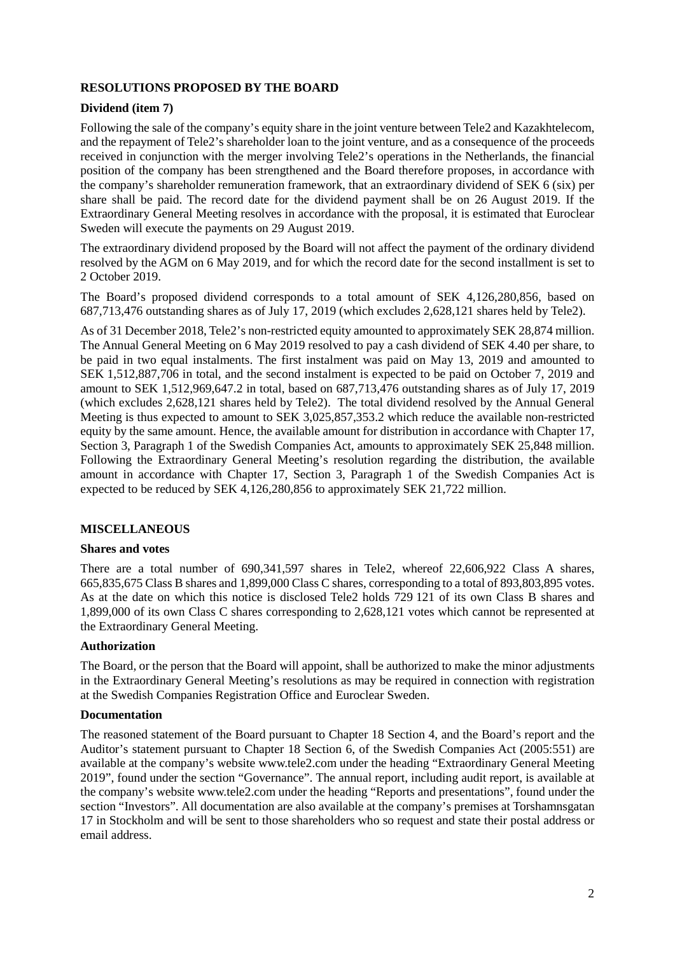# **RESOLUTIONS PROPOSED BY THE BOARD**

## **Dividend (item 7)**

Following the sale of the company's equity share in the joint venture between Tele2 and Kazakhtelecom, and the repayment of Tele2's shareholder loan to the joint venture, and as a consequence of the proceeds received in conjunction with the merger involving Tele2's operations in the Netherlands, the financial position of the company has been strengthened and the Board therefore proposes, in accordance with the company's shareholder remuneration framework, that an extraordinary dividend of SEK 6 (six) per share shall be paid. The record date for the dividend payment shall be on 26 August 2019. If the Extraordinary General Meeting resolves in accordance with the proposal, it is estimated that Euroclear Sweden will execute the payments on 29 August 2019.

The extraordinary dividend proposed by the Board will not affect the payment of the ordinary dividend resolved by the AGM on 6 May 2019, and for which the record date for the second installment is set to 2 October 2019.

The Board's proposed dividend corresponds to a total amount of SEK 4,126,280,856, based on 687,713,476 outstanding shares as of July 17, 2019 (which excludes 2,628,121 shares held by Tele2).

As of 31 December 2018, Tele2's non-restricted equity amounted to approximately SEK 28,874 million. The Annual General Meeting on 6 May 2019 resolved to pay a cash dividend of SEK 4.40 per share, to be paid in two equal instalments. The first instalment was paid on May 13, 2019 and amounted to SEK 1,512,887,706 in total, and the second instalment is expected to be paid on October 7, 2019 and amount to SEK 1,512,969,647.2 in total, based on 687,713,476 outstanding shares as of July 17, 2019 (which excludes 2,628,121 shares held by Tele2). The total dividend resolved by the Annual General Meeting is thus expected to amount to SEK 3,025,857,353.2 which reduce the available non-restricted equity by the same amount. Hence, the available amount for distribution in accordance with Chapter 17, Section 3, Paragraph 1 of the Swedish Companies Act, amounts to approximately SEK 25,848 million. Following the Extraordinary General Meeting's resolution regarding the distribution, the available amount in accordance with Chapter 17, Section 3, Paragraph 1 of the Swedish Companies Act is expected to be reduced by SEK 4,126,280,856 to approximately SEK 21,722 million.

## **MISCELLANEOUS**

#### **Shares and votes**

There are a total number of 690,341,597 shares in Tele2, whereof 22,606,922 Class A shares, 665,835,675 Class B shares and 1,899,000 Class C shares, corresponding to a total of 893,803,895 votes. As at the date on which this notice is disclosed Tele2 holds 729 121 of its own Class B shares and 1,899,000 of its own Class C shares corresponding to 2,628,121 votes which cannot be represented at the Extraordinary General Meeting.

#### **Authorization**

The Board, or the person that the Board will appoint, shall be authorized to make the minor adjustments in the Extraordinary General Meeting's resolutions as may be required in connection with registration at the Swedish Companies Registration Office and Euroclear Sweden.

#### **Documentation**

The reasoned statement of the Board pursuant to Chapter 18 Section 4, and the Board's report and the Auditor's statement pursuant to Chapter 18 Section 6, of the Swedish Companies Act (2005:551) are available at the company's website www.tele2.com under the heading "Extraordinary General Meeting 2019", found under the section "Governance". The annual report, including audit report, is available at the company's website www.tele2.com under the heading "Reports and presentations", found under the section "Investors". All documentation are also available at the company's premises at Torshamnsgatan 17 in Stockholm and will be sent to those shareholders who so request and state their postal address or email address.